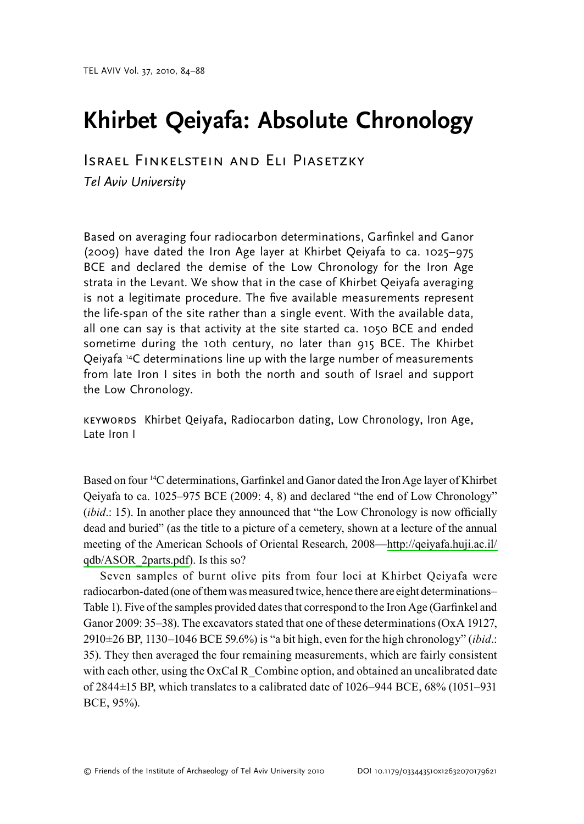# Khirbet Qeiyafa: Absolute Chronology

**ISRAEL FINKELSTEIN AND ELI PIASETZKY** Tel Aviv University

Based on averaging four radiocarbon determinations, Garfinkel and Ganor (2009) have dated the Iron Age layer at Khirbet Qeiyafa to ca. 1025-975 BCE and declared the demise of the Low Chronology for the Iron Age strata in the Levant. We show that in the case of Khirbet Qeiyafa averaging is not a legitimate procedure. The five available measurements represent the life-span of the site rather than a single event. With the available data, all one can say is that activity at the site started ca. 1050 BCE and ended sometime during the 10th century, no later than 915 BCE. The Khirbet Qeiyafa<sup>14</sup>C determinations line up with the large number of measurements from late Iron I sites in both the north and south of Israel and support the Low Chronology.

KEYWORDS Khirbet Qeiyafa, Radiocarbon dating, Low Chronology, Iron Age, Late Iron I

Based on four <sup>14</sup>C determinations, Garfinkel and Ganor dated the Iron Age layer of Khirbet Oeivafa to ca. 1025–975 BCE (2009: 4, 8) and declared "the end of Low Chronology" *(ibid.: 15).* In another place they announced that "the Low Chronology is now officially dead and buried" (as the title to a picture of a cemetery, shown at a lecture of the annual meeting of the American Schools of Oriental Research, 2008—http://qeiyafa.huji.ac.il/ qdb/ASOR 2parts.pdf). Is this so?

Seven samples of burnt olive pits from four loci at Khirbet Qeiyafa were radiocarbon-dated (one of them was measured twice, hence there are eight determinations-Table 1). Five of the samples provided dates that correspond to the Iron Age (Garfinkel and Ganor 2009: 35–38). The excavators stated that one of these determinations (Ox A 19127,  $2910\pm26$  BP, 1130–1046 BCE 59.6%) is "a bit high, even for the high chronology" (ibid.: 35). They then averaged the four remaining measurements, which are fairly consistent with each other, using the  $OxCal R$  Combine option, and obtained an uncalibrated date of 2844±15 BP, which translates to a calibrated date of 1026–944 BCE, 68% (1051–931 BCE, 95%).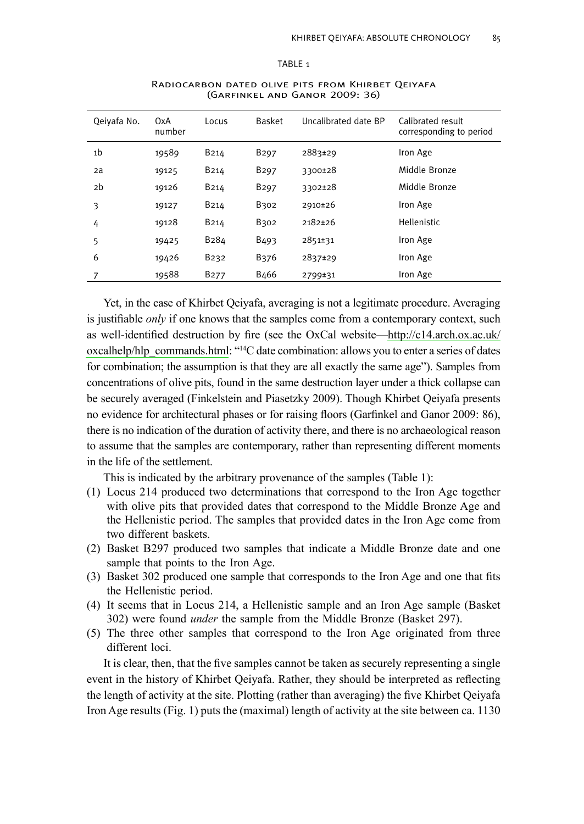#### TABLE<sub>1</sub>

| Qeivafa No. | 0xA<br>number | Locus             | <b>Basket</b>    | Uncalibrated date BP | Calibrated result<br>corresponding to period |
|-------------|---------------|-------------------|------------------|----------------------|----------------------------------------------|
| 1b          | 19589         | B <sub>214</sub>  | B <sub>297</sub> | 2883±29              | Iron Age                                     |
| 2a          | 19125         | B <sub>214</sub>  | B <sub>297</sub> | 3300±28              | Middle Bronze                                |
| 2b          | 19126         | B <sub>214</sub>  | B <sub>297</sub> | 3302±28              | Middle Bronze                                |
| 3           | 19127         | B <sub>214</sub>  | B302             | 2910±26              | Iron Age                                     |
| 4           | 19128         | B <sub>214</sub>  | B302             | 2182±26              | <b>Hellenistic</b>                           |
| 5           | 19425         | B <sub>2</sub> 84 | B <sub>493</sub> | 2851±31              | Iron Age                                     |
| 6           | 19426         | B <sub>2</sub> 32 | B376             | 2837±29              | Iron Age                                     |
|             | 19588         | B <sub>277</sub>  | B <sub>466</sub> | 2799±31              | Iron Age                                     |
|             |               |                   |                  |                      |                                              |

#### RADIOCARBON DATED OLIVE PITS FROM KHIRBET QEIYAFA (GARFINKEL AND GANOR 2009: 36)

Yet, in the case of Khirbet Qeiyafa, averaging is not a legitimate procedure. Averaging is justifiable only if one knows that the samples come from a contemporary context, such as well-identified destruction by fire (see the OxCal website—http://c14.arch.ox.ac.uk/ oxcalhelp/hlp commands.html: "<sup>14</sup>C date combination: allows you to enter a series of dates for combination; the assumption is that they are all exactly the same age"). Samples from concentrations of olive pits, found in the same destruction layer under a thick collapse can be securely averaged (Finkelstein and Piasetzky 2009). Though Khirbet Qeiyafa presents no evidence for architectural phases or for raising floors (Garfinkel and Ganor 2009: 86), there is no indication of the duration of activity there, and there is no archaeological reason to assume that the samples are contemporary, rather than representing different moments in the life of the settlement.

This is indicated by the arbitrary provenance of the samples (Table 1):

- (1) Locus 214 produced two determinations that correspond to the Iron Age together with olive pits that provided dates that correspond to the Middle Bronze Age and the Hellenistic period. The samples that provided dates in the Iron Age come from two different baskets.
- (2) Basket B297 produced two samples that indicate a Middle Bronze date and one sample that points to the Iron Age.
- (3) Basket 302 produced one sample that corresponds to the Iron Age and one that fits the Hellenistic period.
- (4) It seems that in Locus 214, a Hellenistic sample and an Iron Age sample (Basket 302) were found *under* the sample from the Middle Bronze (Basket 297).
- (5) The three other samples that correspond to the Iron Age originated from three different loci.

It is clear, then, that the five samples cannot be taken as securely representing a single event in the history of Khirbet Qeiyafa. Rather, they should be interpreted as reflecting the length of activity at the site. Plotting (rather than averaging) the five Khirbet Qeiyafa Iron Age results (Fig. 1) puts the (maximal) length of activity at the site between ca. 1130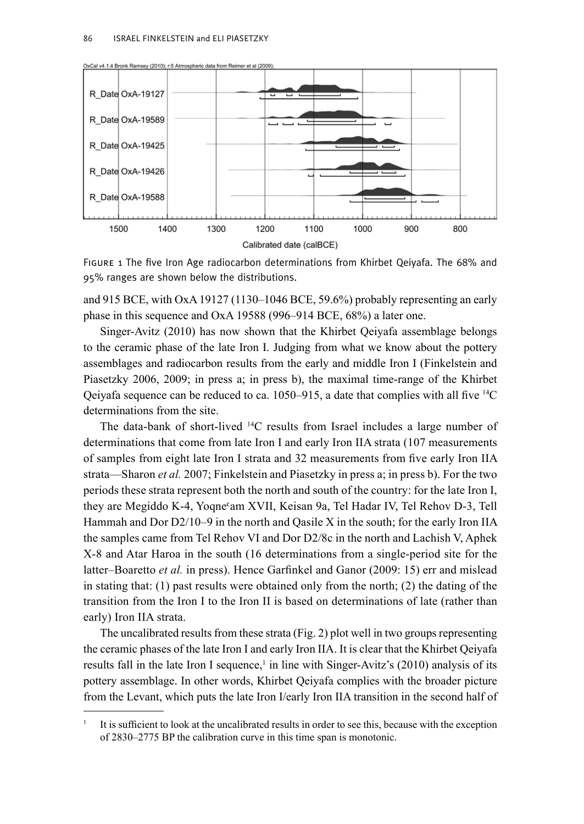

OxCal v4.1.4 Bronk Ramsey (2010); r:5 Atmospheric data from Reimer et al (2009)

FIGURE 1 The five Iron Age radiocarbon determinations from Khirbet Qeiyafa. The 68% and 95% ranges are shown below the distributions.

and 915 BCE, with OxA 19127 (1130–1046 BCE, 59.6%) probably representing an early phase in this sequence and OxA 19588 (996–914 BCE, 68%) a later one.

Singer-Avitz (2010) has now shown that the Khirbet Qeiyafa assemblage belongs to the ceramic phase of the late Iron I. Judging from what we know about the pottery assemblages and radiocarbon results from the early and middle Iron I (Finkelstein and Piasetzky 2006, 2009; in press a; in press b), the maximal time-range of the Khirbet Qeiyafa sequence can be reduced to ca. 1050–915, a date that complies with all five <sup>14</sup>C determinations from the site

The data-bank of short-lived <sup>14</sup>C results from Israel includes a large number of determinations that come from late Iron I and early Iron IIA strata (107 measurements of samples from eight late Iron I strata and 32 measurements from five early Iron IIA strata—Sharon et al. 2007; Finkelstein and Piasetzky in press a; in press b). For the two periods these strata represent both the north and south of the country: for the late Iron I, they are Megiddo K-4, Yogne'am XVII, Keisan 9a, Tel Hadar IV, Tel Rehov D-3, Tell Hammah and Dor D2/10-9 in the north and Qasile X in the south; for the early Iron IIA the samples came from Tel Rehov VI and Dor D2/8c in the north and Lachish V, Aphek X-8 and Atar Haroa in the south (16 determinations from a single-period site for the latter-Boaretto et al. in press). Hence Garfinkel and Ganor (2009: 15) err and mislead in stating that:  $(1)$  past results were obtained only from the north;  $(2)$  the dating of the transition from the Iron I to the Iron II is based on determinations of late (rather than early) Iron IIA strata.

The uncalibrated results from these strata (Fig. 2) plot well in two groups representing the ceramic phases of the late Iron I and early Iron IIA. It is clear that the Khirbet Qeiyafa results fall in the late Iron I sequence,<sup>1</sup> in line with Singer-Avitz's (2010) analysis of its pottery assemblage. In other words, Khirbet Qeiyafa complies with the broader picture from the Levant, which puts the late Iron I/early Iron IIA transition in the second half of

It is sufficient to look at the uncalibrated results in order to see this, because with the exception of 2830–2775 BP the calibration curve in this time span is monotonic.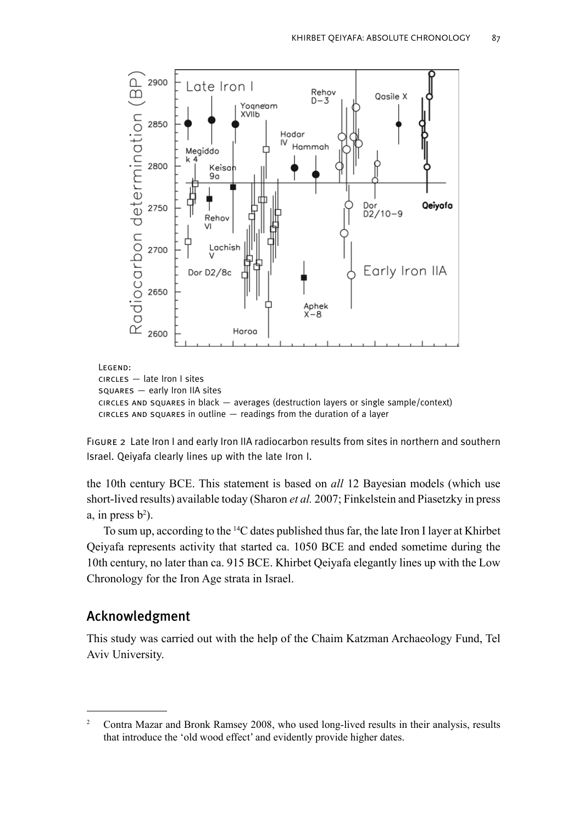

FIGURE 2 Late Iron I and early Iron IIA radiocarbon results from sites in northern and southern Israel. Qeivafa clearly lines up with the late Iron I.

the 10th century BCE. This statement is based on all 12 Bayesian models (which use short-lived results) available today (Sharon et al. 2007; Finkelstein and Piasetzky in press a, in press  $b^2$ ).

To sum up, according to the <sup>14</sup>C dates published thus far, the late Iron I layer at Khirbet Qeiyafa represents activity that started ca. 1050 BCE and ended sometime during the 10th century, no later than ca. 915 BCE. Khirbet Qeivafa elegantly lines up with the Low Chronology for the Iron Age strata in Israel.

## Acknowledgment

This study was carried out with the help of the Chaim Katzman Archaeology Fund, Tel Aviv University.

 $\overline{2}$ Contra Mazar and Bronk Ramsey 2008, who used long-lived results in their analysis, results that introduce the 'old wood effect' and evidently provide higher dates.